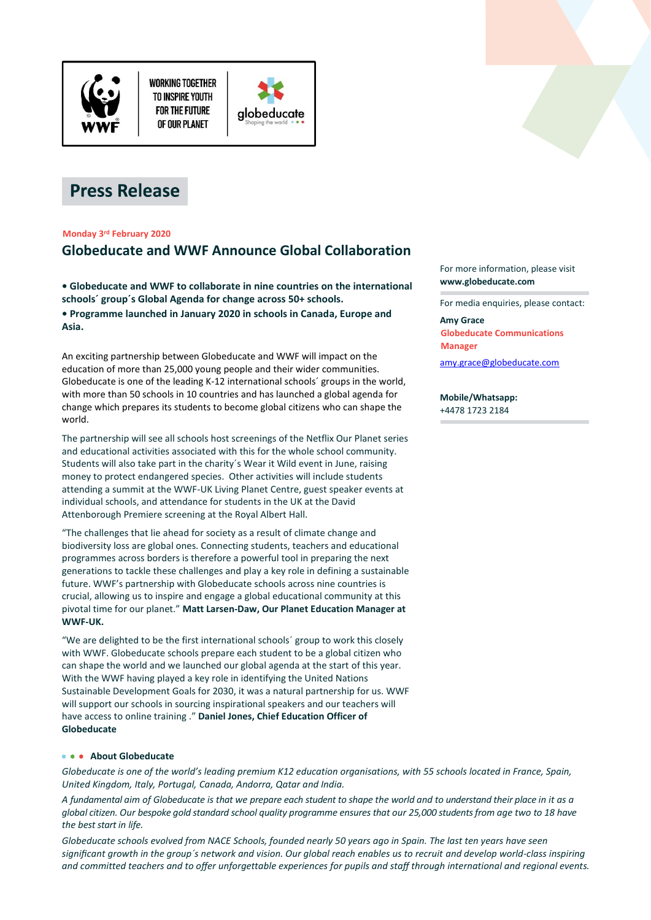

**WORKING TOGETHER** TO INSPIRE YOUTH **FOR THE FUTURE** OF OUR PLANET





## **Monday 3 rd February 2020**

# **Globeducate and WWF Announce Global Collaboration**

**• Globeducate and WWF to collaborate in nine countries on the international schools´ group´s Global Agenda for change across 50+ schools.**

**• Programme launched in January 2020 in schools in Canada, Europe and Asia.**

An exciting partnership between Globeducate and WWF will impact on the education of more than 25,000 young people and their wider communities. Globeducate is one of the leading K-12 international schools´ groups in the world, with more than 50 schools in 10 countries and has launched a global agenda for change which prepares its students to become global citizens who can shape the world.

The partnership will see all schools host screenings of the Netflix Our Planet series and educational activities associated with this for the whole school community. Students will also take part in the charity´s Wear it Wild event in June, raising money to protect endangered species. Other activities will include students attending a summit at the WWF-UK Living Planet Centre, guest speaker events at individual schools, and attendance for students in the UK at the David Attenborough Premiere screening at the Royal Albert Hall.

"The challenges that lie ahead for society as a result of climate change and biodiversity loss are global ones. Connecting students, teachers and educational programmes across borders is therefore a powerful tool in preparing the next generations to tackle these challenges and play a key role in defining a sustainable future. WWF's partnership with Globeducate schools across nine countries is crucial, allowing us to inspire and engage a global educational community at this pivotal time for our planet." **Matt Larsen-Daw, Our Planet Education Manager at WWF-UK.**

"We are delighted to be the first international schools´ group to work this closely with WWF. Globeducate schools prepare each student to be a global citizen who can shape the world and we launched our global agenda at the start of this year. With the WWF having played a key role in identifying the United Nations Sustainable Development Goals for 2030, it was a natural partnership for us. WWF will support our schools in sourcing inspirational speakers and our teachers will have access to online training ." **Daniel Jones, Chief Education Officer of Globeducate**

### **About Globeducate**

*Globeducate is one of the world's leading premium K12 education organisations, with 55 schools located in France, Spain, United Kingdom, Italy, Portugal, Canada, Andorra, Qatar and India.*

*A fundamental aim of Globeducate is that we prepare each student to shape the world and to understand their place in it as a global citizen. Our bespoke gold standard school quality programme ensures that our 25,000 students from age two to 18 have the best start in life.*

*Globeducate schools evolved from NACE Schools, founded nearly 50 years ago in Spain. The last ten years have seen significant growth in the group´s network and vision. Our global reach enables us to recruit and develop world-class inspiring and committed teachers and to offer unforgettable experiences for pupils and staff through international and regional events.*



For media enquiries, please contact:

#### **Amy Grace**

**Globeducate Communications Manager** [amy.grace@globeducate.com](mailto:amy.grace@globeducate.com)

**Mobile/Whatsapp:** +4478 1723 2184